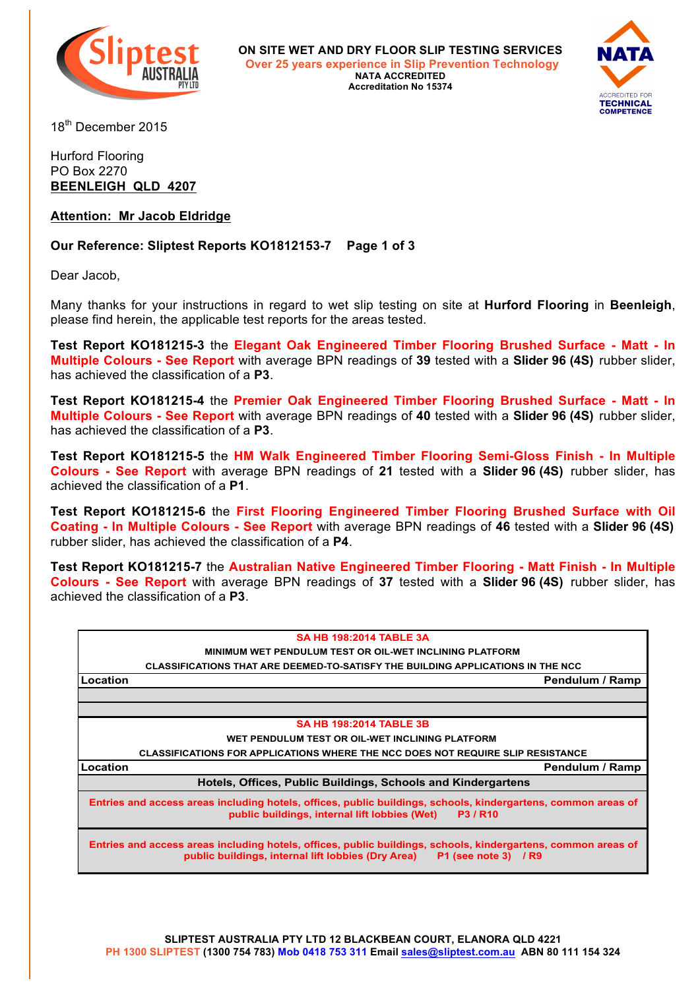

**ON SITE WET AND DRY FLOOR SLIP TESTING SERVICES Over 25 years experience in Slip Prevention Technology NATA ACCREDITED Accreditation No 15374**



18<sup>th</sup> December 2015

### Hurford Flooring PO Box 2270 **BEENLEIGH QLD 4207**

## **Attention: Mr Jacob Eldridge**

## **Our Reference: Sliptest Reports KO1812153-7 Page 1 of 3**

Dear Jacob,

Many thanks for your instructions in regard to wet slip testing on site at **Hurford Flooring** in **Beenleigh**, please find herein, the applicable test reports for the areas tested.

**Test Report KO181215-3** the **Elegant Oak Engineered Timber Flooring Brushed Surface - Matt - In Multiple Colours - See Report** with average BPN readings of **39** tested with a **Slider 96 (4S)** rubber slider, has achieved the classification of a **P3**.

**Test Report KO181215-4** the **Premier Oak Engineered Timber Flooring Brushed Surface - Matt - In Multiple Colours - See Report** with average BPN readings of **40** tested with a **Slider 96 (4S)** rubber slider, has achieved the classification of a **P3**.

**Test Report KO181215-5** the **HM Walk Engineered Timber Flooring Semi-Gloss Finish - In Multiple Colours - See Report** with average BPN readings of **21** tested with a **Slider 96 (4S)** rubber slider, has achieved the classification of a **P1**.

**Test Report KO181215-6** the **First Flooring Engineered Timber Flooring Brushed Surface with Oil Coating - In Multiple Colours - See Report** with average BPN readings of **46** tested with a **Slider 96 (4S)** rubber slider, has achieved the classification of a **P4**.

**Test Report KO181215-7** the **Australian Native Engineered Timber Flooring - Matt Finish - In Multiple Colours - See Report** with average BPN readings of **37** tested with a **Slider 96 (4S)** rubber slider, has achieved the classification of a **P3**.

| <b>SA HB 198:2014 TABLE 3A</b>                                                                                                                                                                |
|-----------------------------------------------------------------------------------------------------------------------------------------------------------------------------------------------|
| MINIMUM WET PENDULUM TEST OR OIL-WET INCLINING PLATFORM                                                                                                                                       |
| CLASSIFICATIONS THAT ARE DEEMED-TO-SATISFY THE BUILDING APPLICATIONS IN THE NCC                                                                                                               |
| Pendulum / Ramp<br>Location                                                                                                                                                                   |
|                                                                                                                                                                                               |
|                                                                                                                                                                                               |
| <b>SA HB 198:2014 TABLE 3B</b>                                                                                                                                                                |
| WET PENDULUM TEST OR OIL-WET INCLINING PLATFORM                                                                                                                                               |
| CLASSIFICATIONS FOR APPLICATIONS WHERE THE NCC DOES NOT REQUIRE SLIP RESISTANCE                                                                                                               |
| Location<br>Pendulum / Ramp                                                                                                                                                                   |
| Hotels, Offices, Public Buildings, Schools and Kindergartens                                                                                                                                  |
| Entries and access areas including hotels, offices, public buildings, schools, kindergartens, common areas of<br>public buildings, internal lift lobbies (Wet)<br><b>P3/R10</b>               |
| Entries and access areas including hotels, offices, public buildings, schools, kindergartens, common areas of<br>public buildings, internal lift lobbies (Dry Area)<br>P1 (see note 3) $/$ R9 |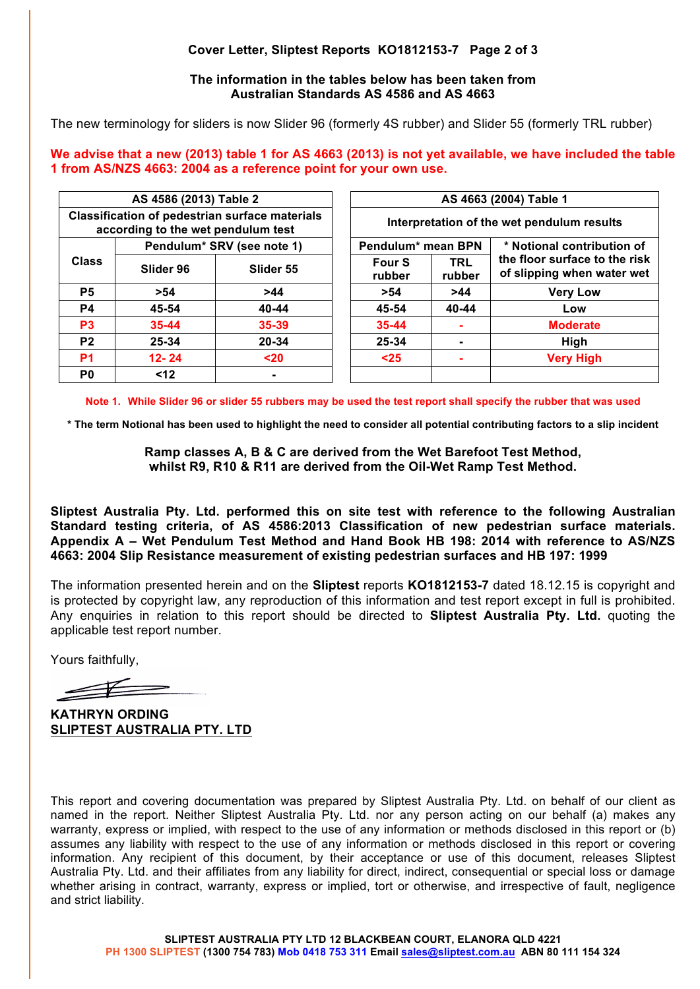# **Cover Letter, Sliptest Reports KO1812153-7 Page 2 of 3**

### **The information in the tables below has been taken from Australian Standards AS 4586 and AS 4663**

The new terminology for sliders is now Slider 96 (formerly 4S rubber) and Slider 55 (formerly TRL rubber)

**We advise that a new (2013) table 1 for AS 4663 (2013) is not yet available, we have included the table 1 from AS/NZS 4663: 2004 as a reference point for your own use.**

| AS 4586 (2013) Table 2                                                                      |                            |                | AS 4663 (2004) Table 1                     |                      |                                                             |
|---------------------------------------------------------------------------------------------|----------------------------|----------------|--------------------------------------------|----------------------|-------------------------------------------------------------|
| <b>Classification of pedestrian surface materials</b><br>according to the wet pendulum test |                            |                | Interpretation of the wet pendulum results |                      |                                                             |
| <b>Class</b>                                                                                | Pendulum* SRV (see note 1) |                | Pendulum* mean BPN                         |                      | * Notional contribution of                                  |
|                                                                                             | Slider 96                  | Slider 55      | <b>Four S</b><br>rubber                    | <b>TRL</b><br>rubber | the floor surface to the risk<br>of slipping when water wet |
| P <sub>5</sub>                                                                              | >54                        | >44            | >54                                        | >44                  | <b>Very Low</b>                                             |
| <b>P4</b>                                                                                   | 45-54                      | 40-44          | 45-54                                      | 40-44                | Low                                                         |
| P <sub>3</sub>                                                                              | $35 - 44$                  | 35-39          | 35-44                                      | ۰                    | <b>Moderate</b>                                             |
| P <sub>2</sub>                                                                              | 25-34                      | 20-34          | 25-34                                      |                      | High                                                        |
| P <sub>1</sub>                                                                              | $12 - 24$                  | $20$           | $25$                                       |                      | <b>Very High</b>                                            |
| P <sub>0</sub>                                                                              | $12$                       | $\blacksquare$ |                                            |                      |                                                             |

**Note 1. While Slider 96 or slider 55 rubbers may be used the test report shall specify the rubber that was used**

**\* The term Notional has been used to highlight the need to consider all potential contributing factors to a slip incident**

**Ramp classes A, B & C are derived from the Wet Barefoot Test Method, whilst R9, R10 & R11 are derived from the Oil-Wet Ramp Test Method.**

**Sliptest Australia Pty. Ltd. performed this on site test with reference to the following Australian Standard testing criteria, of AS 4586:2013 Classification of new pedestrian surface materials. Appendix A – Wet Pendulum Test Method and Hand Book HB 198: 2014 with reference to AS/NZS 4663: 2004 Slip Resistance measurement of existing pedestrian surfaces and HB 197: 1999** 

The information presented herein and on the **Sliptest** reports **KO1812153-7** dated 18.12.15 is copyright and is protected by copyright law, any reproduction of this information and test report except in full is prohibited. Any enquiries in relation to this report should be directed to **Sliptest Australia Pty. Ltd.** quoting the applicable test report number.

Yours faithfully,

**KATHRYN ORDING SLIPTEST AUSTRALIA PTY. LTD**

This report and covering documentation was prepared by Sliptest Australia Pty. Ltd. on behalf of our client as named in the report. Neither Sliptest Australia Pty. Ltd. nor any person acting on our behalf (a) makes any warranty, express or implied, with respect to the use of any information or methods disclosed in this report or (b) assumes any liability with respect to the use of any information or methods disclosed in this report or covering information. Any recipient of this document, by their acceptance or use of this document, releases Sliptest Australia Pty. Ltd. and their affiliates from any liability for direct, indirect, consequential or special loss or damage whether arising in contract, warranty, express or implied, tort or otherwise, and irrespective of fault, negligence and strict liability.